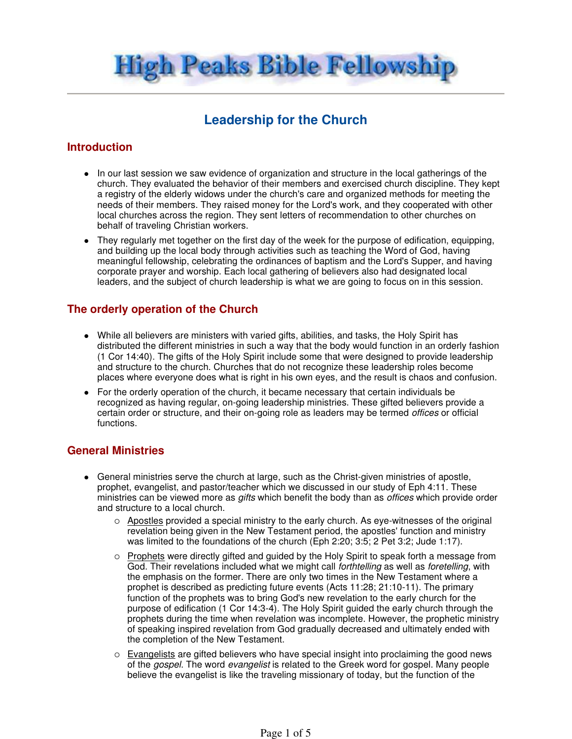High Peaks Bible Fellowship

# **Leadership for the Church**

### **Introduction**

- In our last session we saw evidence of organization and structure in the local gatherings of the church. They evaluated the behavior of their members and exercised church discipline. They kept a registry of the elderly widows under the church's care and organized methods for meeting the needs of their members. They raised money for the Lord's work, and they cooperated with other local churches across the region. They sent letters of recommendation to other churches on behalf of traveling Christian workers.
- They regularly met together on the first day of the week for the purpose of edification, equipping, and building up the local body through activities such as teaching the Word of God, having meaningful fellowship, celebrating the ordinances of baptism and the Lord's Supper, and having corporate prayer and worship. Each local gathering of believers also had designated local leaders, and the subject of church leadership is what we are going to focus on in this session.

### **The orderly operation of the Church**

- While all believers are ministers with varied gifts, abilities, and tasks, the Holy Spirit has distributed the different ministries in such a way that the body would function in an orderly fashion (1 Cor 14:40). The gifts of the Holy Spirit include some that were designed to provide leadership and structure to the church. Churches that do not recognize these leadership roles become places where everyone does what is right in his own eyes, and the result is chaos and confusion.
- For the orderly operation of the church, it became necessary that certain individuals be recognized as having regular, on-going leadership ministries. These gifted believers provide a certain order or structure, and their on-going role as leaders may be termed offices or official functions.

# **General Ministries**

- General ministries serve the church at large, such as the Christ-given ministries of apostle, prophet, evangelist, and pastor/teacher which we discussed in our study of Eph 4:11. These ministries can be viewed more as gifts which benefit the body than as *offices* which provide order and structure to a local church.
	- $\circ$  Apostles provided a special ministry to the early church. As eye-witnesses of the original revelation being given in the New Testament period, the apostles' function and ministry was limited to the foundations of the church (Eph 2:20; 3:5; 2 Pet 3:2; Jude 1:17).
	- Prophets were directly gifted and guided by the Holy Spirit to speak forth a message from God. Their revelations included what we might call *forthtelling* as well as *foretelling*, with the emphasis on the former. There are only two times in the New Testament where a prophet is described as predicting future events (Acts 11:28; 21:10-11). The primary function of the prophets was to bring God's new revelation to the early church for the purpose of edification (1 Cor 14:3-4). The Holy Spirit guided the early church through the prophets during the time when revelation was incomplete. However, the prophetic ministry of speaking inspired revelation from God gradually decreased and ultimately ended with the completion of the New Testament.
	- o Evangelists are gifted believers who have special insight into proclaiming the good news of the *gospel*. The word *evangelist* is related to the Greek word for gospel. Many people believe the evangelist is like the traveling missionary of today, but the function of the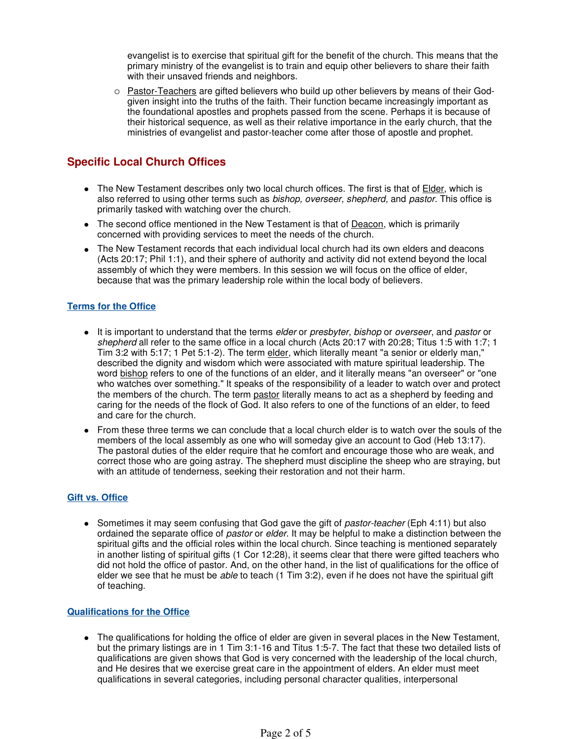evangelist is to exercise that spiritual gift for the benefit of the church. This means that the primary ministry of the evangelist is to train and equip other believers to share their faith with their unsaved friends and neighbors.

 $\circ$  Pastor-Teachers are gifted believers who build up other believers by means of their Godgiven insight into the truths of the faith. Their function became increasingly important as the foundational apostles and prophets passed from the scene. Perhaps it is because of their historical sequence, as well as their relative importance in the early church, that the ministries of evangelist and pastor-teacher come after those of apostle and prophet.

# **Specific Local Church Offices**

- The New Testament describes only two local church offices. The first is that of Elder, which is also referred to using other terms such as bishop, overseer, shepherd, and pastor. This office is primarily tasked with watching over the church.
- The second office mentioned in the New Testament is that of Deacon, which is primarily concerned with providing services to meet the needs of the church.
- The New Testament records that each individual local church had its own elders and deacons (Acts 20:17; Phil 1:1), and their sphere of authority and activity did not extend beyond the local assembly of which they were members. In this session we will focus on the office of elder, because that was the primary leadership role within the local body of believers.

#### **Terms for the Office**

- It is important to understand that the terms elder or presbyter, bishop or overseer, and pastor or shepherd all refer to the same office in a local church (Acts 20:17 with 20:28; Titus 1:5 with 1:7; 1 Tim 3:2 with 5:17; 1 Pet 5:1-2). The term elder, which literally meant "a senior or elderly man," described the dignity and wisdom which were associated with mature spiritual leadership. The word bishop refers to one of the functions of an elder, and it literally means "an overseer" or "one who watches over something." It speaks of the responsibility of a leader to watch over and protect the members of the church. The term pastor literally means to act as a shepherd by feeding and caring for the needs of the flock of God. It also refers to one of the functions of an elder, to feed and care for the church.
- From these three terms we can conclude that a local church elder is to watch over the souls of the members of the local assembly as one who will someday give an account to God (Heb 13:17). The pastoral duties of the elder require that he comfort and encourage those who are weak, and correct those who are going astray. The shepherd must discipline the sheep who are straying, but with an attitude of tenderness, seeking their restoration and not their harm.

#### **Gift vs. Office**

• Sometimes it may seem confusing that God gave the gift of *pastor-teacher* (Eph 4:11) but also ordained the separate office of pastor or elder. It may be helpful to make a distinction between the spiritual gifts and the official roles within the local church. Since teaching is mentioned separately in another listing of spiritual gifts (1 Cor 12:28), it seems clear that there were gifted teachers who did not hold the office of pastor. And, on the other hand, in the list of qualifications for the office of elder we see that he must be *able* to teach (1 Tim 3:2), even if he does not have the spiritual gift of teaching.

#### **Qualifications for the Office**

 The qualifications for holding the office of elder are given in several places in the New Testament, but the primary listings are in 1 Tim 3:1-16 and Titus 1:5-7. The fact that these two detailed lists of qualifications are given shows that God is very concerned with the leadership of the local church, and He desires that we exercise great care in the appointment of elders. An elder must meet qualifications in several categories, including personal character qualities, interpersonal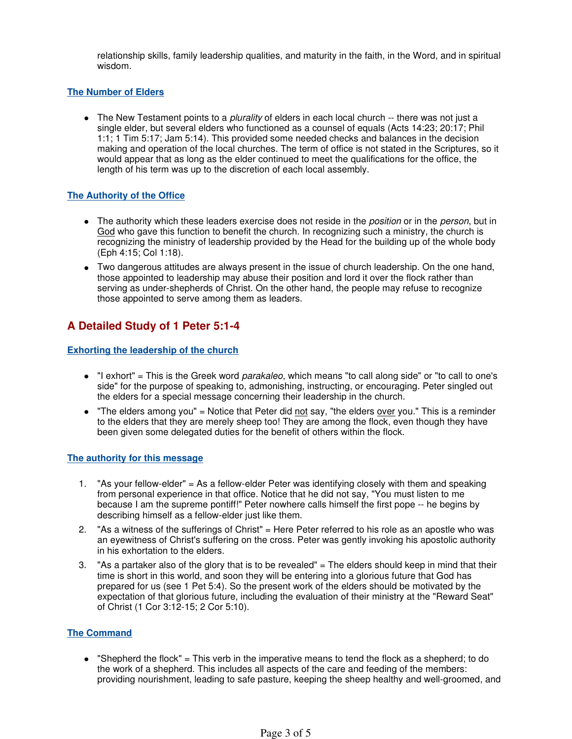relationship skills, family leadership qualities, and maturity in the faith, in the Word, and in spiritual wisdom.

#### **The Number of Elders**

 $\bullet$  The New Testament points to a *plurality* of elders in each local church  $\cdot$ - there was not just a single elder, but several elders who functioned as a counsel of equals (Acts 14:23; 20:17; Phil 1:1; 1 Tim 5:17; Jam 5:14). This provided some needed checks and balances in the decision making and operation of the local churches. The term of office is not stated in the Scriptures, so it would appear that as long as the elder continued to meet the qualifications for the office, the length of his term was up to the discretion of each local assembly.

#### **The Authority of the Office**

- The authority which these leaders exercise does not reside in the *position* or in the *person*, but in God who gave this function to benefit the church. In recognizing such a ministry, the church is recognizing the ministry of leadership provided by the Head for the building up of the whole body (Eph 4:15; Col 1:18).
- Two dangerous attitudes are always present in the issue of church leadership. On the one hand, those appointed to leadership may abuse their position and lord it over the flock rather than serving as under-shepherds of Christ. On the other hand, the people may refuse to recognize those appointed to serve among them as leaders.

# **A Detailed Study of 1 Peter 5:1-4**

#### **Exhorting the leadership of the church**

- $\bullet$  "I exhort" = This is the Greek word *parakaleo*, which means "to call along side" or "to call to one's side" for the purpose of speaking to, admonishing, instructing, or encouraging. Peter singled out the elders for a special message concerning their leadership in the church.
- "The elders among you" = Notice that Peter did not say, "the elders over you." This is a reminder to the elders that they are merely sheep too! They are among the flock, even though they have been given some delegated duties for the benefit of others within the flock.

#### **The authority for this message**

- 1. "As your fellow-elder" = As a fellow-elder Peter was identifying closely with them and speaking from personal experience in that office. Notice that he did not say, "You must listen to me because I am the supreme pontiff!" Peter nowhere calls himself the first pope -- he begins by describing himself as a fellow-elder just like them.
- 2. "As a witness of the sufferings of Christ" = Here Peter referred to his role as an apostle who was an eyewitness of Christ's suffering on the cross. Peter was gently invoking his apostolic authority in his exhortation to the elders.
- 3. "As a partaker also of the glory that is to be revealed" = The elders should keep in mind that their time is short in this world, and soon they will be entering into a glorious future that God has prepared for us (see 1 Pet 5:4). So the present work of the elders should be motivated by the expectation of that glorious future, including the evaluation of their ministry at the "Reward Seat" of Christ (1 Cor 3:12-15; 2 Cor 5:10).

#### **The Command**

 "Shepherd the flock" = This verb in the imperative means to tend the flock as a shepherd; to do the work of a shepherd. This includes all aspects of the care and feeding of the members: providing nourishment, leading to safe pasture, keeping the sheep healthy and well-groomed, and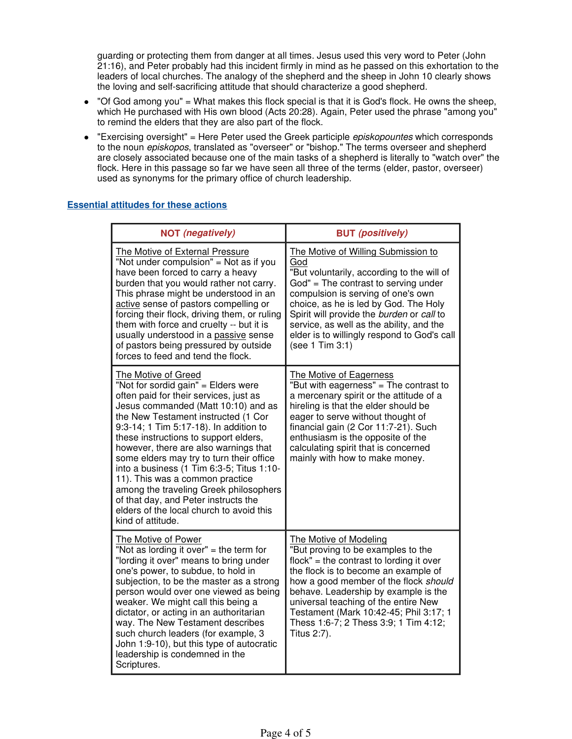guarding or protecting them from danger at all times. Jesus used this very word to Peter (John 21:16), and Peter probably had this incident firmly in mind as he passed on this exhortation to the leaders of local churches. The analogy of the shepherd and the sheep in John 10 clearly shows the loving and self-sacrificing attitude that should characterize a good shepherd.

- $\bullet$  "Of God among you" = What makes this flock special is that it is God's flock. He owns the sheep, which He purchased with His own blood (Acts 20:28). Again, Peter used the phrase "among you" to remind the elders that they are also part of the flock.
- "Exercising oversight" = Here Peter used the Greek participle *episkopountes* which corresponds to the noun episkopos, translated as "overseer" or "bishop." The terms overseer and shepherd are closely associated because one of the main tasks of a shepherd is literally to "watch over" the flock. Here in this passage so far we have seen all three of the terms (elder, pastor, overseer) used as synonyms for the primary office of church leadership.

| <b>NOT</b> (negatively)                                                                                                                                                                                                                                                                                                                                                                                                                                                                                                                                                                       | <b>BUT</b> (positively)                                                                                                                                                                                                                                                                                                                                                        |
|-----------------------------------------------------------------------------------------------------------------------------------------------------------------------------------------------------------------------------------------------------------------------------------------------------------------------------------------------------------------------------------------------------------------------------------------------------------------------------------------------------------------------------------------------------------------------------------------------|--------------------------------------------------------------------------------------------------------------------------------------------------------------------------------------------------------------------------------------------------------------------------------------------------------------------------------------------------------------------------------|
| The Motive of External Pressure<br>"Not under compulsion" = Not as if you<br>have been forced to carry a heavy<br>burden that you would rather not carry.<br>This phrase might be understood in an<br>active sense of pastors compelling or<br>forcing their flock, driving them, or ruling<br>them with force and cruelty -- but it is<br>usually understood in a passive sense<br>of pastors being pressured by outside<br>forces to feed and tend the flock.                                                                                                                               | The Motive of Willing Submission to<br>God<br>"But voluntarily, according to the will of<br>$God" = The contrast to serving under$<br>compulsion is serving of one's own<br>choice, as he is led by God. The Holy<br>Spirit will provide the burden or call to<br>service, as well as the ability, and the<br>elder is to willingly respond to God's call<br>(see 1 Tim 3:1)   |
| The Motive of Greed<br>"Not for sordid gain" = Elders were<br>often paid for their services, just as<br>Jesus commanded (Matt 10:10) and as<br>the New Testament instructed (1 Cor<br>9:3-14; 1 Tim 5:17-18). In addition to<br>these instructions to support elders,<br>however, there are also warnings that<br>some elders may try to turn their office<br>into a business (1 Tim 6:3-5; Titus 1:10-<br>11). This was a common practice<br>among the traveling Greek philosophers<br>of that day, and Peter instructs the<br>elders of the local church to avoid this<br>kind of attitude. | The Motive of Eagerness<br>"But with eagerness" = The contrast to<br>a mercenary spirit or the attitude of a<br>hireling is that the elder should be<br>eager to serve without thought of<br>financial gain (2 Cor 11:7-21). Such<br>enthusiasm is the opposite of the<br>calculating spirit that is concerned<br>mainly with how to make money.                               |
| The Motive of Power<br>"Not as lording it over" = the term for<br>"lording it over" means to bring under<br>one's power, to subdue, to hold in<br>subjection, to be the master as a strong<br>person would over one viewed as being<br>weaker. We might call this being a<br>dictator, or acting in an authoritarian<br>way. The New Testament describes<br>such church leaders (for example, 3<br>John 1:9-10), but this type of autocratic<br>leadership is condemned in the<br>Scriptures.                                                                                                 | The Motive of Modeling<br>"But proving to be examples to the<br>$flock" = the contrast to locating it over$<br>the flock is to become an example of<br>how a good member of the flock should<br>behave. Leadership by example is the<br>universal teaching of the entire New<br>Testament (Mark 10:42-45; Phil 3:17; 1<br>Thess 1:6-7; 2 Thess 3:9; 1 Tim 4:12;<br>Titus 2:7). |

#### **Essential attitudes for these actions**